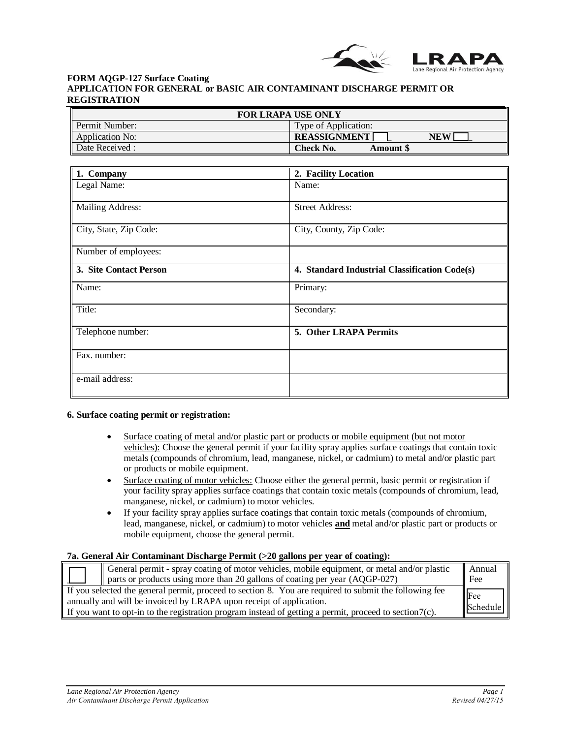

## **FORM AQGP-127 Surface Coating APPLICATION FOR GENERAL or BASIC AIR CONTAMINANT DISCHARGE PERMIT OR REGISTRATION**

| <b>FOR LRAPA USE ONLY</b> |                                      |
|---------------------------|--------------------------------------|
| Permit Number:            | Type of Application:                 |
| Application No:           | <b>REASSIGNMENT</b><br><b>NEW</b>    |
| Date Received :           | <b>Check No.</b><br><b>Amount</b> \$ |

| 1. Company              | 2. Facility Location                          |
|-------------------------|-----------------------------------------------|
| Legal Name:             | Name:                                         |
| <b>Mailing Address:</b> | <b>Street Address:</b>                        |
| City, State, Zip Code:  | City, County, Zip Code:                       |
| Number of employees:    |                                               |
| 3. Site Contact Person  | 4. Standard Industrial Classification Code(s) |
| Name:                   | Primary:                                      |
| Title:                  | Secondary:                                    |
| Telephone number:       | 5. Other LRAPA Permits                        |
| Fax. number:            |                                               |
| e-mail address:         |                                               |

#### **6. Surface coating permit or registration:**

- Surface coating of metal and/or plastic part or products or mobile equipment (but not motor vehicles): Choose the general permit if your facility spray applies surface coatings that contain toxic metals (compounds of chromium, lead, manganese, nickel, or cadmium) to metal and/or plastic part or products or mobile equipment.
- Surface coating of motor vehicles: Choose either the general permit, basic permit or registration if your facility spray applies surface coatings that contain toxic metals (compounds of chromium, lead, manganese, nickel, or cadmium) to motor vehicles.
- If your facility spray applies surface coatings that contain toxic metals (compounds of chromium, lead, manganese, nickel, or cadmium) to motor vehicles **and** metal and/or plastic part or products or mobile equipment, choose the general permit.

## **7a. General Air Contaminant Discharge Permit (>20 gallons per year of coating):**

| General permit - spray coating of motor vehicles, mobile equipment, or metal and/or plastic                | Annual |
|------------------------------------------------------------------------------------------------------------|--------|
| $\parallel$ parts or products using more than 20 gallons of coating per year (AQGP-027)                    | Fee    |
| If you selected the general permit, proceed to section 8. You are required to submit the following fee     |        |
| Fee<br>annually and will be invoiced by LRAPA upon receipt of application.<br>ll Schedule                  |        |
| If you want to opt-in to the registration program instead of getting a permit, proceed to section $7(c)$ . |        |